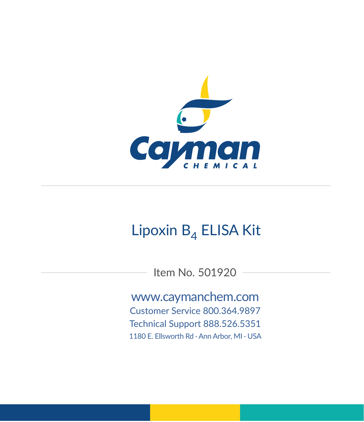

# Lipoxin  $B_4$  ELISA Kit

Item No. 501920

www.caymanchem.com Customer Service 800.364.9897 Technical Support 888.526.5351

1180 E. Ellsworth Rd · Ann Arbor, MI · USA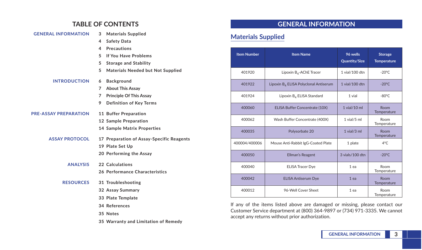# **TABLE OF CONTENTS**

| <b>GENERAL INFORMATION</b>   | <b>Materials Supplied</b><br>3            |
|------------------------------|-------------------------------------------|
|                              | <b>Safety Data</b><br>4                   |
|                              | <b>Precautions</b><br>4                   |
|                              | 5<br>If You Have Problems                 |
|                              | 5<br><b>Storage and Stability</b>         |
|                              | Materials Needed but Not Supplied<br>5    |
| <b>INTRODUCTION</b>          | Background<br>6                           |
|                              | <b>About This Assay</b><br>7              |
|                              | <b>Principle Of This Assay</b><br>7       |
|                              | 9<br><b>Definition of Key Terms</b>       |
| <b>PRE-ASSAY PREPARATION</b> | 11 Buffer Preparation                     |
|                              | 12 Sample Preparation                     |
|                              | <b>14 Sample Matrix Properties</b>        |
| <b>ASSAY PROTOCOL</b>        | 17 Preparation of Assay-Specific Reagents |
|                              | 19 Plate Set Up                           |
|                              | 20 Performing the Assay                   |
| <b>ANALYSIS</b>              | 22 Calculations                           |
|                              | 26 Performance Characteristics            |
| <b>RESOURCES</b>             | 31 Troubleshooting                        |
|                              | 32 Assay Summary                          |
|                              | 33 Plate Template                         |
|                              | 34 References                             |
|                              | 35 Notes                                  |
|                              | 35 Warranty and Limitation of Remedy      |

# **GENERAL INFORMATION**

# **Materials Supplied**

| <b>Item Number</b>                              | <b>Item Name</b>                                  | 96 wells<br><b>Quantity/Size</b> | <b>Storage</b><br><b>Temperature</b> |
|-------------------------------------------------|---------------------------------------------------|----------------------------------|--------------------------------------|
| 401920                                          | Lipoxin B <sub>4</sub> -AChE Tracer               | 1 vial/100 dtn                   | $-20^{\circ}$ C                      |
| 401922                                          | Lipoxin B <sub>4</sub> ELISA Polyclonal Antiserum | 1 vial/100 dtn                   | $-20^{\circ}$ C                      |
| 401924                                          | Lipoxin B <sub>4</sub> ELISA Standard             | 1 vial                           | $-80^{\circ}$ C                      |
| 400060<br><b>ELISA Buffer Concentrate (10X)</b> |                                                   | $1$ vial/ $10$ ml                | Room<br>Temperature                  |
| 400062                                          | Wash Buffer Concentrate (400X)                    | $1$ vial/ $5$ ml                 | Room<br>Temperature                  |
| 400035                                          | Polysorbate 20                                    | $1$ vial/ $3$ ml                 | Room<br>Temperature                  |
| 400004/400006                                   | Mouse Anti-Rabbit IgG-Coated Plate                | 1 plate                          | 4°C                                  |
| 400050                                          | Ellman's Reagent                                  | 3 vials/100 dtn                  | $-20^{\circ}$ C                      |
| 400040                                          | <b>ELISA Tracer Dye</b>                           | $1$ ea                           | Room<br>Temperature                  |
| 400042                                          | <b>ELISA Antiserum Dye</b>                        | $1$ ea                           | Room<br>Temperature                  |
| 400012                                          | 96-Well Cover Sheet                               | $1$ ea                           | Room<br>Temperature                  |

If any of the items listed above are damaged or missing, please contact our Customer Service department at (800) 364-9897 or (734) 971-3335. We cannot accept any returns without prior authorization.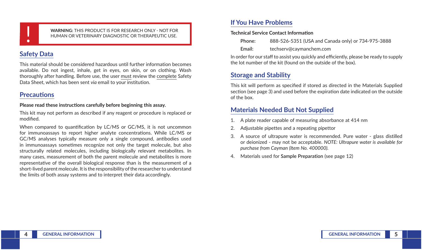

! **WARNING:** THIS PRODUCT IS FOR RESEARCH ONLY - NOT FOR HUMAN OR VETERINARY DIAGNOSTIC OR THERAPEUTIC USE.

# **Safety Data**

This material should be considered hazardous until further information becomes available. Do not ingest, inhale, get in eyes, on skin, or on clothing. Wash thoroughly after handling. Before use, the user must review the complete Safety Data Sheet, which has been sent *via* email to your institution.

# **Precautions**

#### **Please read these instructions carefully before beginning this assay.**

This kit may not perform as described if any reagent or procedure is replaced or modified.

When compared to quantification by LC/MS or GC/MS, it is not uncommon for immunoassays to report higher analyte concentrations. While LC/MS or GC/MS analyses typically measure only a single compound, antibodies used in immunoassays sometimes recognize not only the target molecule, but also structurally related molecules, including biologically relevant metabolites. In many cases, measurement of both the parent molecule and metabolites is more representative of the overall biological response than is the measurement of a short-lived parent molecule. It is the responsibility of the researcher to understand the limits of both assay systems and to interpret their data accordingly.

# **If You Have Problems**

#### **Technical Service Contact Information**

| Phone: | 888-526-5351 (USA and Canada only) or 734-975-3888 |
|--------|----------------------------------------------------|
| Email: | techserv@caymanchem.com                            |

In order for our staff to assist you quickly and efficiently, please be ready to supply the lot number of the kit (found on the outside of the box).

# **Storage and Stability**

This kit will perform as specified if stored as directed in the Materials Supplied section (see page 3) and used before the expiration date indicated on the outside of the box.

# **Materials Needed But Not Supplied**

- 1. A plate reader capable of measuring absorbance at 414 nm
- 2. Adjustable pipettes and a repeating pipettor
- 3. A source of ultrapure water is recommended. Pure water glass distilled or deionized - may not be acceptable. *NOTE: Ultrapure water is available for purchase from Cayman (Item No. 400000).*
- 4. Materials used for **Sample Preparation** (see page 12)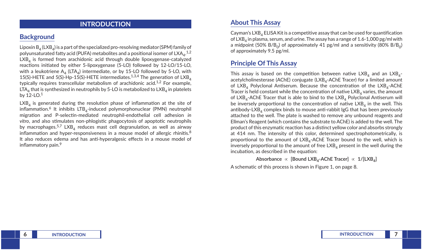### **INTRODUCTION**

# **Background**

Lipoxin  $B_4$  (LXB<sub>4</sub>) is a part of the specialized pro-resolving mediator (SPM) family of polyunsaturated fatty acid (PUFA) metabolites and a positional isomer of  $\mathsf{LXA}_{4}$ . $^{1,2}$  $LXB<sub>A</sub>$  is formed from arachidonic acid through double lipoxygenase-catalyzed reactions initiated by either 5-lipoxygenase (5-LO) followed by 12-LO/15-LO, with a leukotriene  $A_4$  (LTA<sub>4</sub>) intermediate, or by 15-LO followed by 5-LO, with 15(S)-HETE and 5(S)-Hp-15(S)-HETE intermediates.<sup>1,3,4</sup> The generation of LXB<sub>4</sub> typically requires transcellular metabolism of arachidonic acid.<sup>1,2</sup> For example,  $LTA<sub>4</sub>$  that is synthesized in neutrophils by 5-LO is metabolized to  $LXB<sub>4</sub>$  in platelets by 12-LO.1

 $LXB<sub>4</sub>$  is generated during the resolution phase of inflammation at the site of inflammation.<sup>6</sup> It inhibits  $LTB<sub>4</sub>$ -induced polymorphonuclear (PMN) neutrophil migration and P-selectin-mediated neutrophil-endothelial cell adhesion *in vitro*, and also stimulates non-phlogistic phagocytosis of apoptotic neutrophils by macrophages.<sup>5,7</sup> LXB<sub>4</sub> reduces mast cell degranulation, as well as airway inflammation and hyper-responsiveness in a mouse model of allergic rhinitis.<sup>8</sup> It also reduces edema and has anti-hyperalgesic effects in a mouse model of inflammatory pain.<sup>9</sup>

# **About This Assay**

Cayman's  $LXB<sub>A</sub>$  ELISA Kit is a competitive assay that can be used for quantification of  $LXB<sub>4</sub>$  in plasma, serum, and urine. The assay has a range of 1.6-1,000 pg/ml with a midpoint (50%  $B/B_0$ ) of approximately 41 pg/ml and a sensitivity (80%  $B/B_0$ ) of approximately 9.5 pg/ml.

# **Principle Of This Assay**

This assay is based on the competition between native  $LXB<sub>4</sub>$  and an  $LXB<sub>4</sub>$ acetylcholinesterase (AChE) conjugate (LXB<sub>4</sub>-AChE Tracer) for a limited amount of  $LXB<sub>A</sub>$  Polyclonal Antiserum. Because the concentration of the  $LXB<sub>A</sub>$ -AChE Tracer is held constant while the concentration of native  $LXB<sub>A</sub>$  varies, the amount of  $LXB_4$ -AChE Tracer that is able to bind to the  $LXB_4$  Polyclonal Antiserum will be inversely proportional to the concentration of native  $LXB<sub>4</sub>$  in the well. This antibody-LXB<sub>4</sub> complex binds to mouse anti-rabbit IgG that has been previously attached to the well. The plate is washed to remove any unbound reagents and Ellman's Reagent (which contains the substrate to AChE) is added to the well. The product of this enzymatic reaction has a distinct yellow color and absorbs strongly at 414 nm. The intensity of this color, determined spectrophotometrically, is proportional to the amount of  $LXB<sub>A</sub>$ -AChE Tracer bound to the well, which is inversely proportional to the amount of free  $LXB<sub>A</sub>$  present in the well during the incubation, as described in the equation:

```
Absorbance ∝ [Bound LXB4-AChE Tracer] ∝ 1/[LXB4]
```
A schematic of this process is shown in Figure 1, on page 8.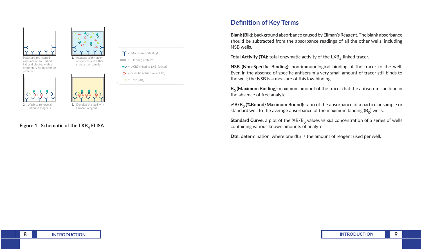

2. Wash to remove all unbound reagents.



3. Develop the well with Ellman's reagent.



# **Definition of Key Terms**

**Blank (Blk):** background absorbance caused by Ellman's Reagent. The blank absorbance should be subtracted from the absorbance readings of all the other wells, including NSB wells.

**Total Activity (TA):** total enzymatic activity of the LXB<sub>4</sub>-linked tracer.

**NSB (Non-Specific Binding):** non-immunological binding of the tracer to the well. Even in the absence of specific antiserum a very small amount of tracer still binds to the well; the NSB is a measure of this low binding.

**B<sub>0</sub>** (Maximum Binding): maximum amount of the tracer that the antiserum can bind in the absence of free analyte.

**%B/B0 (%Bound/Maximum Bound):** ratio of the absorbance of a particular sample or standard well to the average absorbance of the maximum binding  $(B_0)$  wells.

**Standard Curve:** a plot of the %B/B<sub>0</sub> values *versus* concentration of a series of wells containing various known amounts of analyte.

**Dtn:** determination, where one dtn is the amount of reagent used per well.

### **Figure 1. Schematic of the LXB4 ELISA**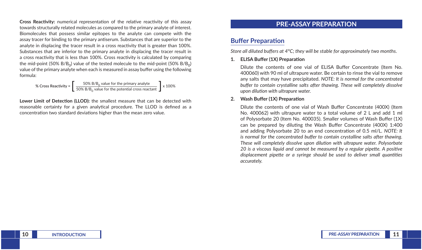**Cross Reactivity:** numerical representation of the relative reactivity of this assay towards structurally related molecules as compared to the primary analyte of interest. Biomolecules that possess similar epitopes to the analyte can compete with the assay tracer for binding to the primary antiserum. Substances that are superior to the analyte in displacing the tracer result in a cross reactivity that is greater than 100%. Substances that are inferior to the primary analyte in displacing the tracer result in a cross reactivity that is less than 100%. Cross reactivity is calculated by comparing the mid-point (50%  $B/B<sub>0</sub>$ ) value of the tested molecule to the mid-point (50%  $B/B<sub>0</sub>$ ) value of the primary analyte when each is measured in assay buffer using the following formula:

% Cross Reactivity = 
$$
\left[\begin{array}{c} 50\% \text{ B/B}_0 \text{ value for the primary analyze} \\ 50\% \text{ B/B}_0 \text{ value for the potential cross reactant} \end{array}\right] \times 100\%
$$

**Lower Limit of Detection (LLOD):** the smallest measure that can be detected with reasonable certainty for a given analytical procedure. The LLOD is defined as a concentration two standard deviations higher than the mean zero value.

### **PRE-ASSAY PREPARATION**

### **Buffer Preparation**

*Store all diluted buffers at 4°C; they will be stable for approximately two months.*

#### **1. ELISA Buffer (1X) Preparation**

Dilute the contents of one vial of ELISA Buffer Concentrate (Item No. 400060) with 90 ml of ultrapure water. Be certain to rinse the vial to remove any salts that may have precipitated. *NOTE: It is normal for the concentrated buffer to contain crystalline salts after thawing. These will completely dissolve upon dilution with ultrapure water.*

#### **2. Wash Buffer (1X) Preparation**

Dilute the contents of one vial of Wash Buffer Concentrate (400X) (Item No. 400062) with ultrapure water to a total volume of 2 L and add 1 ml of Polysorbate 20 (Item No. 400035). Smaller volumes of Wash Buffer (1X) can be prepared by diluting the Wash Buffer Concentrate (400X) 1:400 and adding Polysorbate 20 to an end concentration of 0.5 ml/L. *NOTE: It is normal for the concentrated buffer to contain crystalline salts after thawing. These will completely dissolve upon dilution with ultrapure water. Polysorbate 20 is a viscous liquid and cannot be measured by a regular pipette. A positive displacement pipette or a syringe should be used to deliver small quantities accurately.*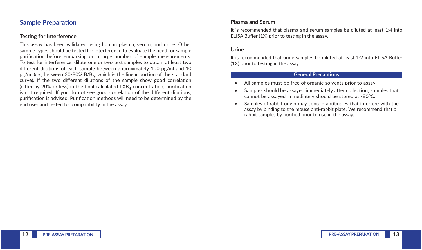### **Sample Preparation**

#### **Testing for Interference**

This assay has been validated using human plasma, serum, and urine. Other sample types should be tested for interference to evaluate the need for sample purification before embarking on a large number of sample measurements. To test for interference, dilute one or two test samples to obtain at least two different dilutions of each sample between approximately 100 pg/ml and 10 pg/ml (*i.e.*, between 30-80% B/B<sub>0</sub>, which is the linear portion of the standard curve). If the two different dilutions of the sample show good correlation (differ by 20% or less) in the final calculated  $LXB<sub>A</sub>$  concentration, purification is not required. If you do not see good correlation of the different dilutions, purification is advised. Purification methods will need to be determined by the end user and tested for compatibility in the assay.

### **Plasma and Serum**

It is recommended that plasma and serum samples be diluted at least 1:4 into ELISA Buffer (1X) prior to testing in the assay.

#### **Urine**

It is recommended that urine samples be diluted at least 1:2 into ELISA Buffer (1X) prior to testing in the assay.

#### **General Precautions**

- All samples must be free of organic solvents prior to assay.
- Samples should be assayed immediately after collection; samples that cannot be assayed immediately should be stored at -80°C.
- Samples of rabbit origin may contain antibodies that interfere with the assay by binding to the mouse anti-rabbit plate. We recommend that all rabbit samples by purified prior to use in the assay.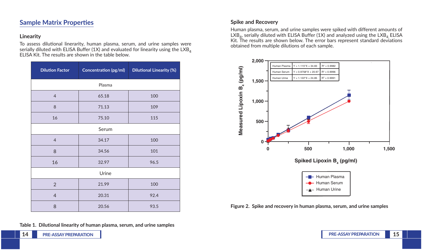### **Sample Matrix Properties**

### **Linearity**

To assess dilutional linerarity, human plasma, serum, and urine samples were serially diluted with ELISA Buffer (1X) and evaluated for linearity using the LXB<sub>4</sub> ELISA Kit. The results are shown in the table below.

| <b>Dilution Factor</b>   | Concentration (pg/ml) | <b>Dilutional Linearity (%)</b> |  |  |  |
|--------------------------|-----------------------|---------------------------------|--|--|--|
| Plasma                   |                       |                                 |  |  |  |
| $\overline{4}$           | 65.18                 | 100                             |  |  |  |
| $\,8\,$                  | 71.13                 | 109                             |  |  |  |
| 16                       | 75.10                 | 115                             |  |  |  |
| Serum                    |                       |                                 |  |  |  |
| $\overline{4}$           | 34.17                 | 100                             |  |  |  |
| 8                        | 34.56                 | 101                             |  |  |  |
| 16                       | 32.97                 | 96.5                            |  |  |  |
| Urine                    |                       |                                 |  |  |  |
| $\overline{2}$           | 21.99                 | 100                             |  |  |  |
| $\overline{\mathcal{L}}$ | 20.31                 | 92.4                            |  |  |  |
| 8                        | 20.56                 | 93.5                            |  |  |  |

#### **Table 1. Dilutional linearity of human plasma, serum, and urine samples**

### **Spike and Recovery**

Human plasma, serum, and urine samples were spiked with different amounts of  $LXB_4$ , serially diluted with ELISA Buffer (1X) and analyzed using the  $LXB_4$  ELISA Kit. The results are shown below. The error bars represent standard deviations obtained from multiple dilutions of each sample.



**Figure 2. Spike and recovery in human plasma, serum, and urine samples**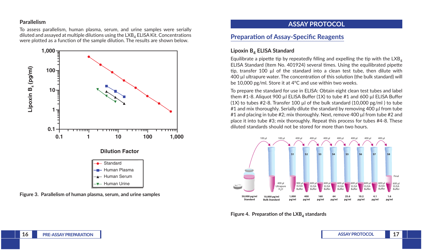### **Parallelism**

To assess parallelism, human plasma, serum, and urine samples were serially diluted and assayed at multiple dilutions using the  $LXB<sub>4</sub> ELISA Kit.$  Concentrations were plotted as a function of the sample dilution. The results are shown below.



**Figure 3. Parallelism of human plasma, serum, and urine samples**

# **ASSAY PROTOCOL**

# **Preparation of Assay-Specific Reagents**

### Lipoxin B<sub>4</sub> ELISA Standard

Equilibrate a pipette tip by repeatedly filling and expelling the tip with the  $LXB<sub>4</sub>$ ELISA Standard (Item No. 401924) several times. Using the equilibrated pipette tip, transfer 100 µl of the standard into a clean test tube, then dilute with 400 µl ultrapure water. The concentration of this solution (the bulk standard) will be 10,000 pg/ml. Store it at 4°C and use within two weeks.

To prepare the standard for use in ELISA: Obtain eight clean test tubes and label them #1-8. Aliquot 900 µl ELISA Buffer (1X) to tube #1 and 600 µl ELISA Buffer (1X) to tubes  $#2-8$ . Transfer 100 µl of the bulk standard (10,000 pg/ml) to tube #1 and mix thoroughly. Serially dilute the standard by removing 400 µl from tube #1 and placing in tube #2; mix thoroughly. Next, remove 400 µl from tube #2 and place it into tube #3; mix thoroughly. Repeat this process for tubes #4-8. These diluted standards should not be stored for more than two hours.



**Figure 4. Preparation of the LXB4 standards**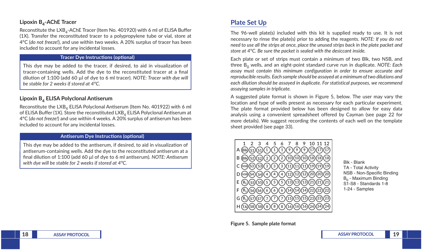### Lipoxin B<sub>4</sub>-AChE Tracer

Reconstitute the  $LXB<sub>A</sub>$ -AChE Tracer (Item No. 401920) with 6 ml of ELISA Buffer (1X). Transfer the reconstituted tracer to a polypropylene tube or vial, store at 4°C (*do not freeze!*), and use within two weeks. A 20% surplus of tracer has been included to account for any incidental losses.

#### **Tracer Dye Instructions (optional)**

This dye may be added to the tracer, if desired, to aid in visualization of tracer-containing wells. Add the dye to the reconstituted tracer at a final dilution of 1:100 (add 60 µl of dye to 6 ml tracer). *NOTE: Tracer with dye will be stable for 2 weeks if stored at 4°C.*

#### **Lipoxin B4 ELISA Polyclonal Antiserum**

Reconstitute the LXB<sub>4</sub> ELISA Polyclonal Antiserum (Item No. 401922) with 6 ml of ELISA Buffer (1X). Store the reconstituted LXB<sub>4</sub> ELISA Polyclonal Antiserum at 4°C (*do not freeze!*) and use within 4 weeks. A 20% surplus of antiserum has been included to account for any incidental losses.

#### **Antiserum Dye Instructions (optional)**

This dye may be added to the antiserum, if desired, to aid in visualization of antiserum-containing wells. Add the dye to the reconstituted antiserum at a final dilution of 1:100 (add 60 µl of dye to 6 ml antiserum). *NOTE: Antiserum with dye will be stable for 2 weeks if stored at 4°C.*

### **Plate Set Up**

The 96-well plate(s) included with this kit is supplied ready to use. It is not necessary to rinse the plate(s) prior to adding the reagents. *NOTE: If you do not need to use all the strips at once, place the unused strips back in the plate packet and store at 4°C. Be sure the packet is sealed with the desiccant inside.*

Each plate or set of strips must contain a minimum of two Blk, two NSB, and three B<sub>0</sub> wells, and an eight-point standard curve run in duplicate. *NOTE: Each assay must contain this minimum configuration in order to ensure accurate and reproducible results. Each sample should be assayed at a minimum of two dilutions and each dilution should be assayed in duplicate. For statistical purposes, we recommend assaying samples in triplicate.*

A suggested plate format is shown in Figure 5, below. The user may vary the location and type of wells present as necessary for each particular experiment. The plate format provided below has been designed to allow for easy data analysis using a convenient spreadsheet offered by Cayman (see page 22 for more details). We suggest recording the contents of each well on the template sheet provided (see page 33).



Blk - Blank TA - Total Activity NSB - Non-Specific Binding  $B_0$  - Maximum Binding S1-S8 - Standards 1-8 1-24 - Samples

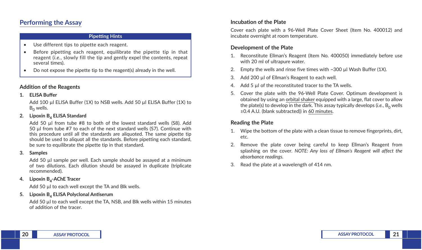# **Performing the Assay**

#### **Pipetting Hints**

- Use different tips to pipette each reagent.
- Before pipetting each reagent, equilibrate the pipette tip in that reagent (*i.e.*, slowly fill the tip and gently expel the contents, repeat several times).
- Do not expose the pipette tip to the reagent(s) already in the well.

### **Addition of the Reagents**

#### **1. ELISA Buffer**

Add 100 µl ELISA Buffer (1X) to NSB wells. Add 50 µl ELISA Buffer (1X) to  $B_0$  wells.

#### **2. Lipoxin B4 ELISA Standard**

Add 50 µl from tube #8 to both of the lowest standard wells (S8). Add 50 µl from tube #7 to each of the next standard wells (S7). Continue with this procedure until all the standards are aliquoted. The same pipette tip should be used to aliquot all the standards. Before pipetting each standard, be sure to equilibrate the pipette tip in that standard.

#### **3. Samples**

Add 50 µl sample per well. Each sample should be assayed at a minimum of two dilutions. Each dilution should be assayed in duplicate (triplicate recommended).

#### **4. Lipoxin B4-AChE Tracer**

Add 50 µl to each well except the TA and Blk wells.

#### **5. Lipoxin B4 ELISA Polyclonal Antiserum**

Add 50 µl to each well except the TA, NSB, and Blk wells within 15 minutes of addition of the tracer.

### **Incubation of the Plate**

Cover each plate with a 96-Well Plate Cover Sheet (Item No. 400012) and incubate overnight at room temperature.

### **Development of the Plate**

- 1. Reconstitute Ellman's Reagent (Item No. 400050) immediately before use with 20 ml of ultrapure water.
- 2. Empty the wells and rinse five times with  $\sim$ 300 µl Wash Buffer (1X).
- 3. Add 200 µ of Ellman's Reagent to each well.
- 4. Add 5 µl of the reconstituted tracer to the TA wells.
- 5. Cover the plate with the 96-Well Plate Cover. Optimum development is obtained by using an orbital shaker equipped with a large, flat cover to allow the plate(s) to develop in the dark. This assay typically develops  $(i.e., B<sub>0</sub>$  wells ≥0.4 A.U. (blank subtracted)) in 60 minutes.

### **Reading the Plate**

- 1. Wipe the bottom of the plate with a clean tissue to remove fingerprints, dirt, etc.
- 2. Remove the plate cover being careful to keep Ellman's Reagent from splashing on the cover. *NOTE: Any loss of Ellman's Reagent will affect the absorbance readings.*
- 3. Read the plate at a wavelength of 414 nm.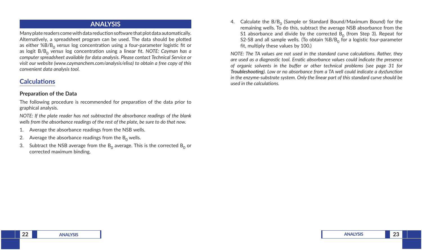### **ANALYSIS**

Many plate readers come with data reduction software that plot data automatically. Alternatively, a spreadsheet program can be used. The data should be plotted as either %B/B<sub>0</sub> versus log concentration using a four-parameter logistic fit or as logit B/B0 *versus* log concentration using a linear fit. *NOTE: Cayman has a computer spreadsheet available for data analysis. Please contact Technical Service or visit our website (www.caymanchem.com/analysis/elisa) to obtain a free copy of this convenient data analysis tool.* 

# **Calculations**

#### **Preparation of the Data**

The following procedure is recommended for preparation of the data prior to graphical analysis.

*NOTE: If the plate reader has not subtracted the absorbance readings of the blank wells from the absorbance readings of the rest of the plate, be sure to do that now.*

- 1. Average the absorbance readings from the NSB wells.
- 2. Average the absorbance readings from the  $B_0$  wells.
- 3. Subtract the NSB average from the  $B_0$  average. This is the corrected  $B_0$  or corrected maximum binding.

4. Calculate the  $B/B<sub>0</sub>$  (Sample or Standard Bound/Maximum Bound) for the remaining wells. To do this, subtract the average NSB absorbance from the S1 absorbance and divide by the corrected  $B_0$  (from Step 3). Repeat for S2-S8 and all sample wells. (To obtain  $%B/B<sub>0</sub>$  for a logistic four-parameter fit, multiply these values by 100.)

*NOTE: The TA values are not used in the standard curve calculations. Rather, they are used as a diagnostic tool. Erratic absorbance values could indicate the presence of organic solvents in the buffer or other technical problems (see page 31 for Troubleshooting). Low or no absorbance from a TA well could indicate a dysfunction in the enzyme-substrate system. Only the linear part of this standard curve should be used in the calculations.*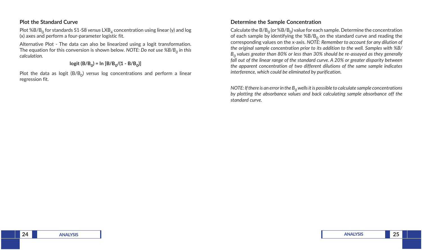### **Plot the Standard Curve**

Plot %B/B<sub>0</sub> for standards S1-S8 *versus* LXB<sub>4</sub> concentration using linear (y) and log (x) axes and perform a four-parameter logistic fit.

Alternative Plot - The data can also be linearized using a logit transformation. The equation for this conversion is shown below. *NOTE: Do not use %B/B0 in this calculation.*

 $logit (B/B_0) = ln [B/B_0/(1 - B/B_0)]$ 

Plot the data as logit  $(B/B_0)$  *versus* log concentrations and perform a linear regression fit.

### **Determine the Sample Concentration**

Calculate the  $B/B_0$  (or  $%B/B_0$ ) value for each sample. Determine the concentration of each sample by identifying the  $%B/B<sub>0</sub>$  on the standard curve and reading the corresponding values on the x-axis. *NOTE: Remember to account for any dilution of the original sample concentration prior to its addition to the well. Samples with %B/ B0 values greater than 80% or less than 30% should be re-assayed as they generally*  fall out of the linear range of the standard curve. A 20% or greater disparity between *the apparent concentration of two different dilutions of the same sample indicates interference, which could be eliminated by purification.*

*NOTE: If there is an error in the*  $B_0$  *wells it is possible to calculate sample concentrations by plotting the absorbance values and back calculating sample absorbance off the standard curve.*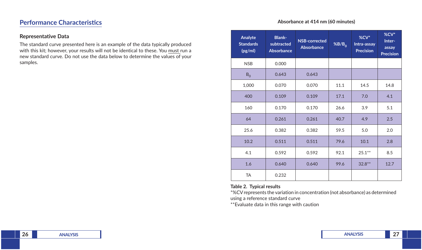# **Performance Characteristics**

#### **Representative Data**

The standard curve presented here is an example of the data typically produced with this kit; however, your results will not be identical to these. You must run a new standard curve. Do not use the data below to determine the values of your samples.

#### **Absorbance at 414 nm (60 minutes)**

| Analyte<br><b>Standards</b><br>(pg/ml) | <b>Blank-</b><br>subtracted<br><b>Absorbance</b> | NSB-corrected<br><b>Absorbance</b> | %B/B <sub>0</sub> | %CV*<br>Intra-assay<br><b>Precision</b> | %CV*<br>Inter-<br>assay<br><b>Precision</b> |
|----------------------------------------|--------------------------------------------------|------------------------------------|-------------------|-----------------------------------------|---------------------------------------------|
| <b>NSB</b>                             | 0.000                                            |                                    |                   |                                         |                                             |
| $B_0$                                  | 0.643                                            | 0.643                              |                   |                                         |                                             |
| 1,000                                  | 0.070                                            | 0.070                              | 11.1              | 14.5                                    | 14.8                                        |
| 400                                    | 0.109                                            | 0.109                              | 17.1              | 7.0                                     | 4.1                                         |
| 160                                    | 0.170                                            | 0.170                              | 26.6              | 3.9                                     | 5.1                                         |
| 64                                     | 0.261                                            | 0.261                              | 40.7              | 4.9                                     | 2.5                                         |
| 25.6                                   | 0.382                                            | 0.382                              | 59.5              | 5.0                                     | 2.0                                         |
| 10.2                                   | 0.511                                            | 0.511                              | 79.6              | 10.1                                    | 2.8                                         |
| 4.1                                    | 0.592                                            | 0.592                              | 92.1              | $25.1***$                               | 8.5                                         |
| 1.6                                    | 0.640                                            | 0.640                              | 99.6              | $32.8**$                                | 12.7                                        |
| <b>TA</b>                              | 0.232                                            |                                    |                   |                                         |                                             |

#### **Table 2. Typical results**

\*%CV represents the variation in concentration (not absorbance) as determined using a reference standard curve

\*\*Evaluate data in this range with caution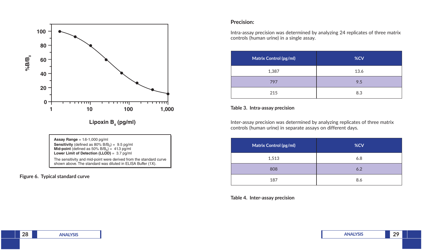

The sensitivity and mid-point were derived from the standard curve shown above. The standard was diluted in ELISA Buffer (1X).

#### **Figure 6. Typical standard curve**

#### **Precision:**

Intra-assay precision was determined by analyzing 24 replicates of three matrix controls (human urine) in a single assay.

| Matrix Control (pg/ml) | %CV  |
|------------------------|------|
| 1,387                  | 13.6 |
| 797                    | 9.5  |
| 215                    | 8.3  |

#### **Table 3. Intra-assay precision**

Inter-assay precision was determined by analyzing replicates of three matrix controls (human urine) in separate assays on different days.

| Matrix Control (pg/ml) | %CV |  |
|------------------------|-----|--|
| 1,513                  | 6.8 |  |
| 808                    | 6.2 |  |
| 187                    | 8.6 |  |

**Table 4. Inter-assay precision**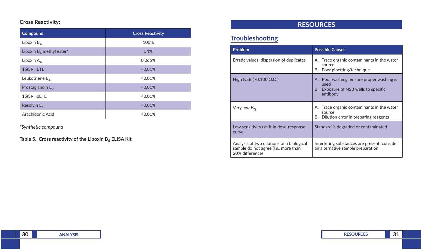### **Cross Reactivity:**

| Compound                    | <b>Cross Reactivity</b> |  |  |
|-----------------------------|-------------------------|--|--|
| Lipoxin $B_{\Lambda}$       | 100%                    |  |  |
| Lipoxin $B_4$ methyl ester* | 54%                     |  |  |
| Lipoxin $A_4$               | 0.065%                  |  |  |
| $15(S)-HETE$                | < 0.01%                 |  |  |
| Leukotriene $B_{\Lambda}$   | < 0.01%                 |  |  |
| Prostaglandin $E_2$         | < 0.01%                 |  |  |
| 15(S)-HpETE                 | < 0.01%                 |  |  |
| Resolvin $E_1$              | < 0.01%                 |  |  |
| Arachidonic Acid            | < 0.01%                 |  |  |

*\*Synthetic compound*

**Table 5. Cross reactivity of the Lipoxin B4 ELISA Kit**

# **RESOURCES**

# **Troubleshooting**

| <b>Problem</b>                                                                                                | <b>Possible Causes</b>                                                                                |  |  |  |
|---------------------------------------------------------------------------------------------------------------|-------------------------------------------------------------------------------------------------------|--|--|--|
| Erratic values; dispersion of duplicates                                                                      | A. Trace organic contaminants in the water<br>source<br>Poor pipetting/technique<br>В.                |  |  |  |
| High NSB $(>0.100$ O.D.)                                                                                      | A. Poor washing; ensure proper washing is<br>used<br>B. Exposure of NSB wells to specific<br>antibody |  |  |  |
| Very low $B_0$                                                                                                | A. Trace organic contaminants in the water<br>source<br>B. Dilution error in preparing reagents       |  |  |  |
| Low sensitivity (shift in dose-response<br>curve)                                                             | Standard is degraded or contaminated                                                                  |  |  |  |
| Analysis of two dilutions of a biological<br>sample do not agree ( <i>i.e.</i> , more than<br>20% difference) | Interfering substances are present; consider<br>an alternative sample preparation                     |  |  |  |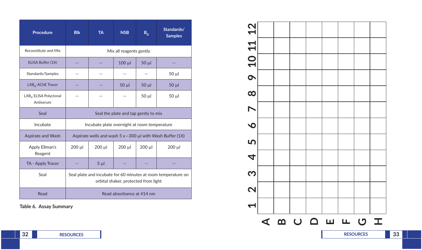| <b>Procedure</b>                               | <b>Blk</b>                                                                                            | <b>TA</b>                                    | <b>NSB</b> | $B_0$       | Standards/<br><b>Samples</b>                                     |
|------------------------------------------------|-------------------------------------------------------------------------------------------------------|----------------------------------------------|------------|-------------|------------------------------------------------------------------|
| Reconstitute and Mix                           | Mix all reagents gently                                                                               |                                              |            |             |                                                                  |
| ELISA Buffer (1X)                              | $-$                                                                                                   | --                                           | $100 \mu$  | $50 \mu$    |                                                                  |
| Standards/Samples                              | --                                                                                                    |                                              |            |             | $50 \mu$                                                         |
| LXB <sub>4</sub> -AChE Tracer                  |                                                                                                       |                                              | $50 \mu$   | $50 \mu$    | $50 \mu$                                                         |
| LXB <sub>4</sub> ELISA Polyclonal<br>Antiserum |                                                                                                       |                                              |            | $50 \mu$    | 50 µl                                                            |
| Seal                                           |                                                                                                       | Seal the plate and tap gently to mix         |            |             |                                                                  |
| Incubate                                       |                                                                                                       | Incubate plate overnight at room temperature |            |             |                                                                  |
| Aspirate and Wash                              |                                                                                                       |                                              |            |             | Aspirate wells and wash 5 $\times$ ~300 µl with Wash Buffer (1X) |
| Apply Ellman's<br>Reagent                      | $200 \mu l$                                                                                           | $200$ $\mu$                                  | 200 µl     | $200$ $\mu$ | $200 \mu l$                                                      |
| TA - Apply Tracer                              |                                                                                                       | 5 <sub>µ</sub>                               |            |             |                                                                  |
| Seal                                           | Seal plate and incubate for 60 minutes at room temperature on<br>orbital shaker, protected from light |                                              |            |             |                                                                  |
| Read                                           | Read absorbance at 414 nm                                                                             |                                              |            |             |                                                                  |

**Table 6. Assay Summary**